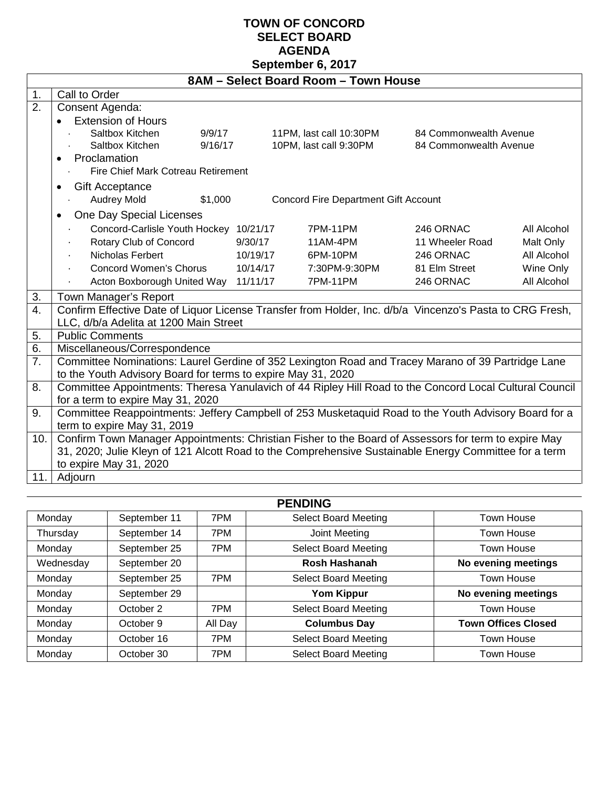## **TOWN OF CONCORD SELECT BOARD AGENDA September 6, 2017**

| 8AM - Select Board Room - Town House |                                                                                                                                              |         |          |                                             |                        |             |  |  |
|--------------------------------------|----------------------------------------------------------------------------------------------------------------------------------------------|---------|----------|---------------------------------------------|------------------------|-------------|--|--|
| 1.                                   | Call to Order                                                                                                                                |         |          |                                             |                        |             |  |  |
| 2.                                   | Consent Agenda:                                                                                                                              |         |          |                                             |                        |             |  |  |
|                                      | <b>Extension of Hours</b>                                                                                                                    |         |          |                                             |                        |             |  |  |
|                                      | Saltbox Kitchen                                                                                                                              | 9/9/17  |          | 11PM, last call 10:30PM                     | 84 Commonwealth Avenue |             |  |  |
|                                      | Saltbox Kitchen                                                                                                                              | 9/16/17 |          | 10PM, last call 9:30PM                      | 84 Commonwealth Avenue |             |  |  |
|                                      | Proclamation<br>$\bullet$                                                                                                                    |         |          |                                             |                        |             |  |  |
|                                      | Fire Chief Mark Cotreau Retirement                                                                                                           |         |          |                                             |                        |             |  |  |
|                                      | <b>Gift Acceptance</b><br>٠                                                                                                                  |         |          |                                             |                        |             |  |  |
|                                      | Audrey Mold                                                                                                                                  | \$1,000 |          | <b>Concord Fire Department Gift Account</b> |                        |             |  |  |
|                                      | One Day Special Licenses                                                                                                                     |         |          |                                             |                        |             |  |  |
|                                      | Concord-Carlisle Youth Hockey 10/21/17                                                                                                       |         |          | 7PM-11PM                                    | 246 ORNAC              | All Alcohol |  |  |
|                                      | Rotary Club of Concord                                                                                                                       |         | 9/30/17  | 11AM-4PM                                    | 11 Wheeler Road        | Malt Only   |  |  |
|                                      | Nicholas Ferbert                                                                                                                             |         | 10/19/17 | 6PM-10PM                                    | 246 ORNAC              | All Alcohol |  |  |
|                                      | <b>Concord Women's Chorus</b>                                                                                                                |         | 10/14/17 | 7:30PM-9:30PM                               | 81 Elm Street          | Wine Only   |  |  |
|                                      | Acton Boxborough United Way 11/11/17                                                                                                         |         |          | 7PM-11PM                                    | 246 ORNAC              | All Alcohol |  |  |
| 3.                                   | Town Manager's Report                                                                                                                        |         |          |                                             |                        |             |  |  |
| $\overline{4}$ .                     | Confirm Effective Date of Liquor License Transfer from Holder, Inc. d/b/a Vincenzo's Pasta to CRG Fresh,                                     |         |          |                                             |                        |             |  |  |
|                                      | LLC, d/b/a Adelita at 1200 Main Street                                                                                                       |         |          |                                             |                        |             |  |  |
| 5.                                   | <b>Public Comments</b>                                                                                                                       |         |          |                                             |                        |             |  |  |
| 6.                                   | Miscellaneous/Correspondence                                                                                                                 |         |          |                                             |                        |             |  |  |
| 7.                                   | Committee Nominations: Laurel Gerdine of 352 Lexington Road and Tracey Marano of 39 Partridge Lane                                           |         |          |                                             |                        |             |  |  |
|                                      | to the Youth Advisory Board for terms to expire May 31, 2020                                                                                 |         |          |                                             |                        |             |  |  |
| 8.                                   | Committee Appointments: Theresa Yanulavich of 44 Ripley Hill Road to the Concord Local Cultural Council<br>for a term to expire May 31, 2020 |         |          |                                             |                        |             |  |  |
| 9.                                   |                                                                                                                                              |         |          |                                             |                        |             |  |  |
|                                      | Committee Reappointments: Jeffery Campbell of 253 Musketaquid Road to the Youth Advisory Board for a                                         |         |          |                                             |                        |             |  |  |
| 10.                                  | term to expire May 31, 2019<br>Confirm Town Manager Appointments: Christian Fisher to the Board of Assessors for term to expire May          |         |          |                                             |                        |             |  |  |
|                                      | 31, 2020; Julie Kleyn of 121 Alcott Road to the Comprehensive Sustainable Energy Committee for a term                                        |         |          |                                             |                        |             |  |  |
|                                      | to expire May 31, 2020                                                                                                                       |         |          |                                             |                        |             |  |  |
| 11.                                  | Adjourn                                                                                                                                      |         |          |                                             |                        |             |  |  |
|                                      |                                                                                                                                              |         |          |                                             |                        |             |  |  |
|                                      |                                                                                                                                              |         |          | <b>DENINIA</b>                              |                        |             |  |  |

| <b>PENDING</b> |              |         |                             |                            |  |  |
|----------------|--------------|---------|-----------------------------|----------------------------|--|--|
| Monday         | September 11 | 7PM     | <b>Select Board Meeting</b> | Town House                 |  |  |
| Thursday       | September 14 | 7PM     | Joint Meeting               | Town House                 |  |  |
| Monday         | September 25 | 7PM     | <b>Select Board Meeting</b> | Town House                 |  |  |
| Wednesday      | September 20 |         | Rosh Hashanah               | No evening meetings        |  |  |
| Monday         | September 25 | 7PM     | <b>Select Board Meeting</b> | Town House                 |  |  |
| Monday         | September 29 |         | <b>Yom Kippur</b>           | No evening meetings        |  |  |
| Monday         | October 2    | 7PM     | <b>Select Board Meeting</b> | Town House                 |  |  |
| Monday         | October 9    | All Day | <b>Columbus Day</b>         | <b>Town Offices Closed</b> |  |  |
| Monday         | October 16   | 7PM     | <b>Select Board Meeting</b> | Town House                 |  |  |
| Monday         | October 30   | 7PM     | <b>Select Board Meeting</b> | Town House                 |  |  |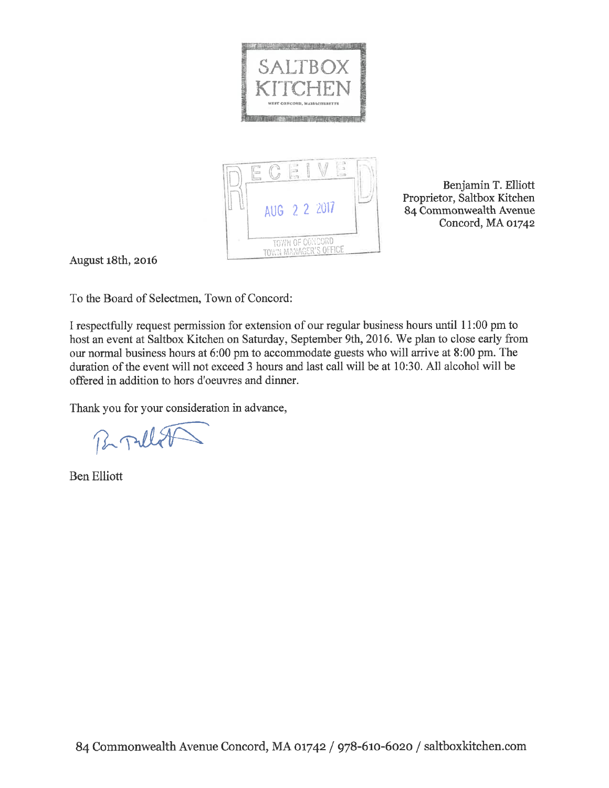



Benjamin T. Elliott Proprietor, Saltbox Kitchen 84 Commonwealth Avenue Concord, MA 01742

August 18th, 2016

To the Board of Selectmen, Town of Concord:

I respectfully request permission for extension of our regular business hours until 11:00 pm to host an event at Saltbox Kitchen on Saturday, September 9th, 2016. We plan to close early from our normal business hours at 6:00 pm to accommodate guests who will arrive at 8:00 pm. The duration of the event will not exceed 3 hours and last call will be at 10:30. All alcohol will be offered in addition to hors d'oeuvres and dinner.

Thank you for your consideration in advance,

Broulet

**Ben Elliott**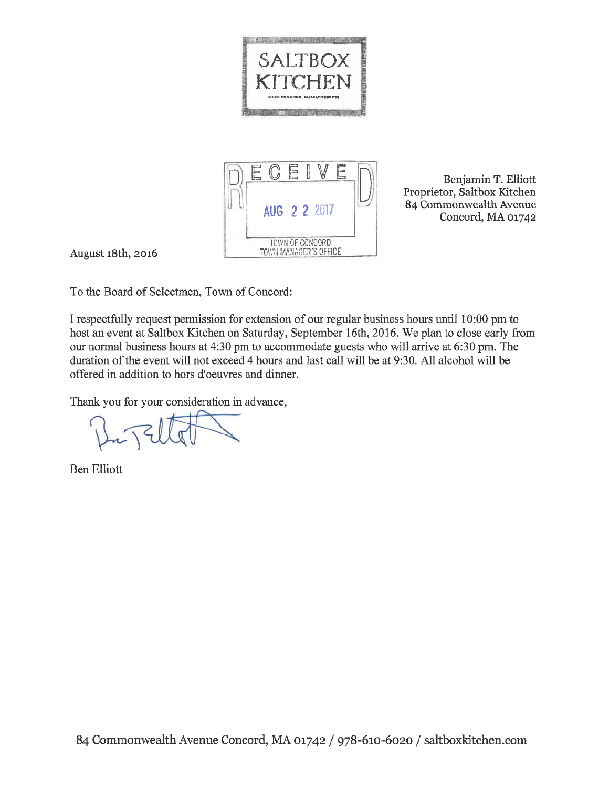



Benjamin T. Elliott Proprietor, Saltbox Kitchen 84 Commonwealth Avenue Concord, MA 01742

August 18th, 2016

To the Board of Selectmen, Town of Concord:

I respectfully request permission for extension of our regular business hours until 10:00 pm to host an event at Saltbox Kitchen on Saturday, September 16th, 2016. We plan to close early from our normal business hours at 4:30 pm to accommodate guests who will arrive at 6:30 pm. The duration of the event will not exceed 4 hours and last call will be at 9:30. All alcohol will be offered in addition to hors d'oeuvres and dinner.

Thank you for your consideration in advance,

**Ben Elliott**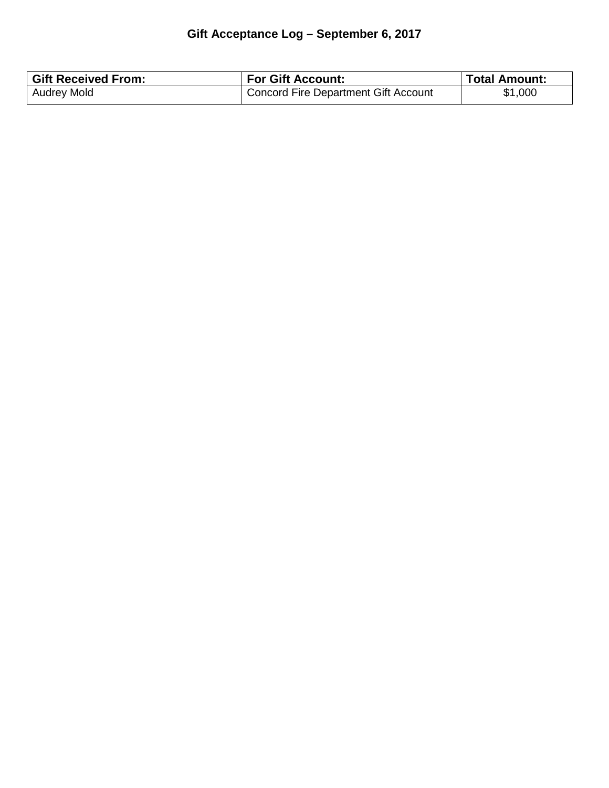## **Gift Acceptance Log – September 6, 2017**

| <b>Gift Received From:</b> | <b>For Gift Account:</b>               | <b>Total Amount:</b> |
|----------------------------|----------------------------------------|----------------------|
| <b>Audrey Mold</b>         | ' Concord Fire Department Gift Account | \$1,000              |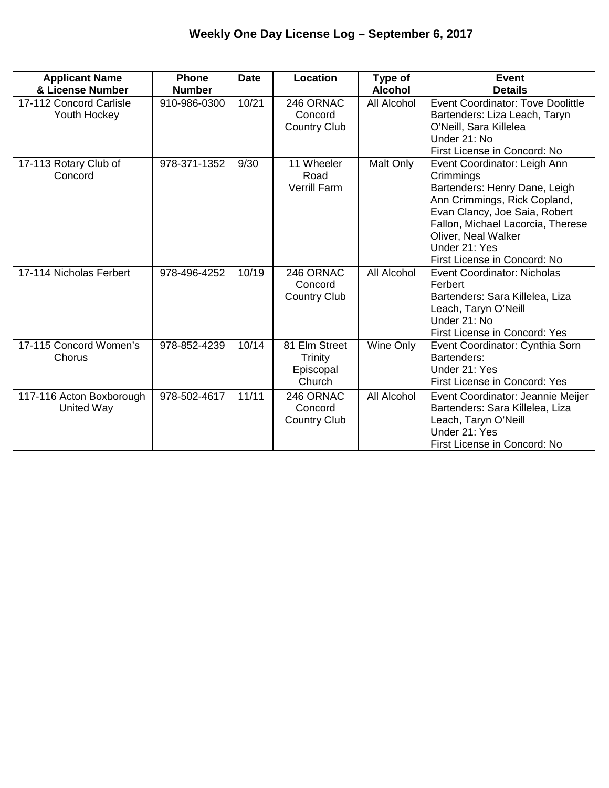| <b>Applicant Name</b><br>& License Number     | <b>Phone</b><br><b>Number</b> | <b>Date</b> | Location                                               | Type of<br><b>Alcohol</b> | <b>Event</b><br><b>Details</b>                                                                                                                                                                                                                           |
|-----------------------------------------------|-------------------------------|-------------|--------------------------------------------------------|---------------------------|----------------------------------------------------------------------------------------------------------------------------------------------------------------------------------------------------------------------------------------------------------|
| 17-112 Concord Carlisle<br>Youth Hockey       | 910-986-0300                  | 10/21       | 246 ORNAC<br>Concord<br><b>Country Club</b>            | All Alcohol               | <b>Event Coordinator: Tove Doolittle</b><br>Bartenders: Liza Leach, Taryn<br>O'Neill, Sara Killelea<br>Under 21: No<br>First License in Concord: No                                                                                                      |
| 17-113 Rotary Club of<br>Concord              | 978-371-1352                  | 9/30        | 11 Wheeler<br>Road<br><b>Verrill Farm</b>              | Malt Only                 | Event Coordinator: Leigh Ann<br>Crimmings<br>Bartenders: Henry Dane, Leigh<br>Ann Crimmings, Rick Copland,<br>Evan Clancy, Joe Saia, Robert<br>Fallon, Michael Lacorcia, Therese<br>Oliver, Neal Walker<br>Under 21: Yes<br>First License in Concord: No |
| 17-114 Nicholas Ferbert                       | 978-496-4252                  | 10/19       | 246 ORNAC<br>Concord<br><b>Country Club</b>            | All Alcohol               | Event Coordinator: Nicholas<br>Ferbert<br>Bartenders: Sara Killelea, Liza<br>Leach, Taryn O'Neill<br>Under 21: No<br>First License in Concord: Yes                                                                                                       |
| 17-115 Concord Women's<br>Chorus              | 978-852-4239                  | 10/14       | 81 Elm Street<br><b>Trinity</b><br>Episcopal<br>Church | Wine Only                 | Event Coordinator: Cynthia Sorn<br>Bartenders:<br>Under 21: Yes<br>First License in Concord: Yes                                                                                                                                                         |
| 117-116 Acton Boxborough<br><b>United Way</b> | 978-502-4617                  | 11/11       | 246 ORNAC<br>Concord<br><b>Country Club</b>            | All Alcohol               | Event Coordinator: Jeannie Meijer<br>Bartenders: Sara Killelea, Liza<br>Leach, Taryn O'Neill<br>Under 21: Yes<br>First License in Concord: No                                                                                                            |